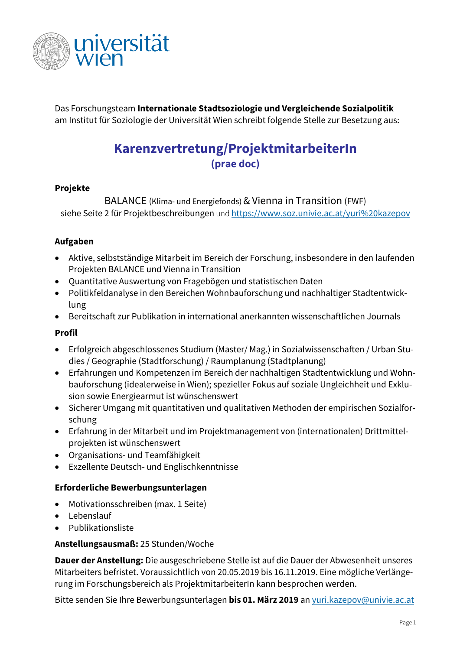

Das Forschungsteam **Internationale Stadtsoziologie und Vergleichende Sozialpolitik** am Institut für Soziologie der Universität Wien schreibt folgende Stelle zur Besetzung aus:

# **Karenzvertretung/ProjektmitarbeiterIn (prae doc)**

## **Projekte**

BALANCE (Klima- und Energiefonds) & Vienna in Transition (FWF) siehe Seite 2 für Projektbeschreibungen und <https://www.soz.univie.ac.at/yuri%20kazepov>

### **Aufgaben**

- Aktive, selbstständige Mitarbeit im Bereich der Forschung, insbesondere in den laufenden Projekten BALANCE und Vienna in Transition
- Quantitative Auswertung von Fragebögen und statistischen Daten
- Politikfeldanalyse in den Bereichen Wohnbauforschung und nachhaltiger Stadtentwicklung
- Bereitschaft zur Publikation in international anerkannten wissenschaftlichen Journals

### **Profil**

- Erfolgreich abgeschlossenes Studium (Master/ Mag.) in Sozialwissenschaften / Urban Studies / Geographie (Stadtforschung) / Raumplanung (Stadtplanung)
- Erfahrungen und Kompetenzen im Bereich der nachhaltigen Stadtentwicklung und Wohnbauforschung (idealerweise in Wien); spezieller Fokus auf soziale Ungleichheit und Exklusion sowie Energiearmut ist wünschenswert
- Sicherer Umgang mit quantitativen und qualitativen Methoden der empirischen Sozialforschung
- Erfahrung in der Mitarbeit und im Projektmanagement von (internationalen) Drittmittelprojekten ist wünschenswert
- Organisations- und Teamfähigkeit
- Exzellente Deutsch- und Englischkenntnisse

### **Erforderliche Bewerbungsunterlagen**

- Motivationsschreiben (max. 1 Seite)
- Lebenslauf
- Publikationsliste

### **Anstellungsausmaß:** 25 Stunden/Woche

**Dauer der Anstellung:** Die ausgeschriebene Stelle ist auf die Dauer der Abwesenheit unseres Mitarbeiters befristet. Voraussichtlich von 20.05.2019 bis 16.11.2019. Eine mögliche Verlängerung im Forschungsbereich als ProjektmitarbeiterIn kann besprochen werden.

Bitte senden Sie Ihre Bewerbungsunterlagen **bis 01. März 2019** an [yuri.kazepov@univie.ac.at](mailto:yuri.kazepov@univie.ac.at)